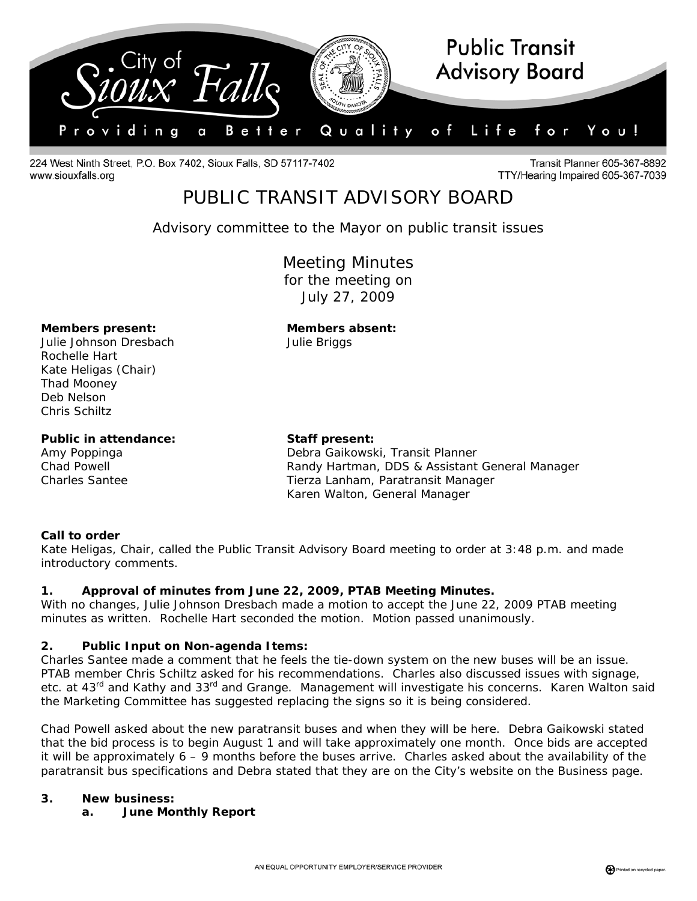

224 West Ninth Street, P.O. Box 7402, Sioux Falls, SD 57117-7402 www.siouxfalls.org

**Transit Planner 605-367-8892** TTY/Hearing Impaired 605-367-7039

# PUBLIC TRANSIT ADVISORY BOARD

*Advisory committee to the Mayor on public transit issues* 

Meeting Minutes for the meeting on July 27, 2009

#### **Members present: Members absent:**

Julie Johnson Dresbach Julie Briggs Rochelle Hart Kate Heligas (Chair) Thad Mooney Deb Nelson Chris Schiltz

#### Public in attendance: Staff present:

Amy Poppinga Debra Gaikowski, Transit Planner Chad Powell Randy Hartman, DDS & Assistant General Manager Charles Santee Tierza Lanham, Paratransit Manager Karen Walton, General Manager

### **Call to order**

Kate Heligas, Chair, called the Public Transit Advisory Board meeting to order at 3:48 p.m. and made introductory comments.

### **1. Approval of minutes from June 22, 2009, PTAB Meeting Minutes.**

With no changes, Julie Johnson Dresbach made a motion to accept the June 22, 2009 PTAB meeting minutes as written. Rochelle Hart seconded the motion. Motion passed unanimously.

### **2. Public Input on Non-agenda Items:**

Charles Santee made a comment that he feels the tie-down system on the new buses will be an issue. PTAB member Chris Schiltz asked for his recommendations. Charles also discussed issues with signage, etc. at 43<sup>rd</sup> and Kathy and 33<sup>rd</sup> and Grange. Management will investigate his concerns. Karen Walton said the Marketing Committee has suggested replacing the signs so it is being considered.

Chad Powell asked about the new paratransit buses and when they will be here. Debra Gaikowski stated that the bid process is to begin August 1 and will take approximately one month. Once bids are accepted it will be approximately 6 – 9 months before the buses arrive. Charles asked about the availability of the paratransit bus specifications and Debra stated that they are on the City's website on the Business page.

#### **3. New business:**

**a. June Monthly Report**